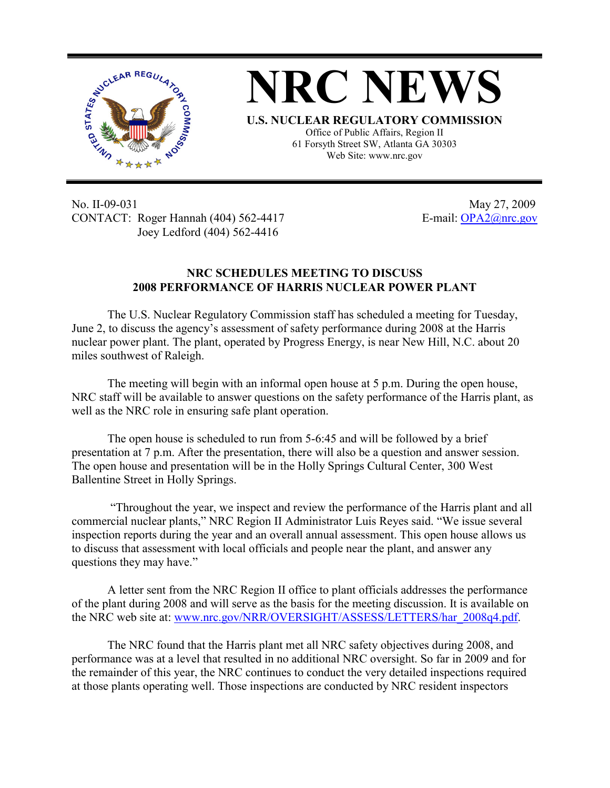



Office of Public Affairs, Region II 61 Forsyth Street SW, Atlanta GA 30303 Web Site: www.nrc.gov

No. II-09-031 May 27, 2009 CONTACT: Roger Hannah (404) 562-4417 E-mail: OPA2@nrc.gov Joey Ledford (404) 562-4416

## **NRC SCHEDULES MEETING TO DISCUSS 2008 PERFORMANCE OF HARRIS NUCLEAR POWER PLANT**

The U.S. Nuclear Regulatory Commission staff has scheduled a meeting for Tuesday, June 2, to discuss the agency's assessment of safety performance during 2008 at the Harris nuclear power plant. The plant, operated by Progress Energy, is near New Hill, N.C. about 20 miles southwest of Raleigh.

The meeting will begin with an informal open house at 5 p.m. During the open house, NRC staff will be available to answer questions on the safety performance of the Harris plant, as well as the NRC role in ensuring safe plant operation.

The open house is scheduled to run from 5-6:45 and will be followed by a brief presentation at 7 p.m. After the presentation, there will also be a question and answer session. The open house and presentation will be in the Holly Springs Cultural Center, 300 West Ballentine Street in Holly Springs.

 "Throughout the year, we inspect and review the performance of the Harris plant and all commercial nuclear plants," NRC Region II Administrator Luis Reyes said. "We issue several inspection reports during the year and an overall annual assessment. This open house allows us to discuss that assessment with local officials and people near the plant, and answer any questions they may have."

A letter sent from the NRC Region II office to plant officials addresses the performance of the plant during 2008 and will serve as the basis for the meeting discussion. It is available on the NRC web site at: www.nrc.gov/NRR/OVERSIGHT/ASSESS/LETTERS/har\_2008q4.pdf.

The NRC found that the Harris plant met all NRC safety objectives during 2008, and performance was at a level that resulted in no additional NRC oversight. So far in 2009 and for the remainder of this year, the NRC continues to conduct the very detailed inspections required at those plants operating well. Those inspections are conducted by NRC resident inspectors